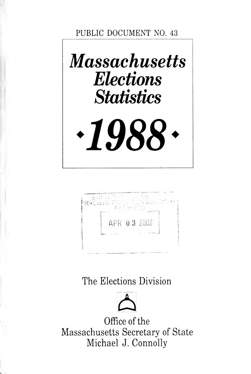PUBLIC DOCUMENT NO. <sup>43</sup>





# The Elections Division



Office of the Massachusetts Secretary of State Michael J. Connolly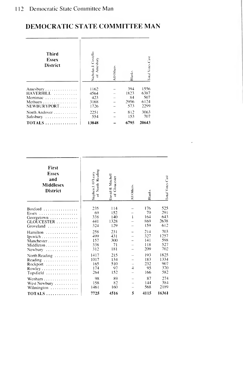| Third<br><b>Essex</b><br>District | Nicholas J. Costello<br>Ameshury<br>ह | All Other | Blank <sup>.</sup> | Total Votes Cast |
|-----------------------------------|---------------------------------------|-----------|--------------------|------------------|
| Amesbury                          | 1162                                  |           | 394                | 1556             |
| HAVERHILL                         | 4564                                  |           | 1823               | 6387             |
| Merrimac                          | 423                                   |           | 84                 | 507              |
| Methuen                           | 3168                                  |           | 2956               | 6124             |
| NEWBURYPORT                       | 1726                                  |           | 573                | 2299             |
| North Andover                     | 2251                                  |           | 812                | 3063             |
| Salisbury                         | 554                                   |           | 153                | 707              |
| $TOTALS$                          | 13848                                 |           | 6795               | 20643            |

| First<br><b>Essex</b><br>and<br>Middlesex<br><b>District</b> | North Reading<br>Stephen J. O'Leary<br>$\overline{\sigma}$ | David H. Mitchell<br>Gloucester<br>눙 | All Others   | Blanks | Total Votes Cast |
|--------------------------------------------------------------|------------------------------------------------------------|--------------------------------------|--------------|--------|------------------|
| $Boxford$                                                    | 235                                                        | 114                                  | $\mathbf{1}$ | 176    | 525              |
| Essex                                                        | 69                                                         | 152                                  |              | 70     | 291              |
| Georgetown                                                   | 338                                                        | 140                                  |              | 164    | 643              |
| $GLOUCESTER$                                                 | 441                                                        | 1328                                 |              | 869    | 2638             |
| Groveland                                                    | 324                                                        | 129                                  |              | 159    | 612              |
| Hamilton                                                     | 258                                                        | 231                                  |              | 214    | 703              |
| lpswich                                                      | 499                                                        | 431                                  |              | 327    | 1257             |
| Manchester                                                   | 157                                                        | 300                                  |              | 141    | 598              |
| Middleton                                                    | 338                                                        | 71                                   |              | 118    | 527              |
| Newbury                                                      | 312                                                        | 181                                  |              | 209    | 702              |
| North Reading                                                | 1417                                                       | 215                                  | 4            | 193    | 1825             |
| Reading                                                      | 1017                                                       | 134                                  |              | 183    | 1334             |
| Rockport                                                     | 165                                                        | 510                                  |              | 232    | 907              |
| Rowley                                                       | 174                                                        | 97                                   |              | 95     | 370              |
| Topsfield                                                    | 264                                                        | 152                                  |              | 166    | 582              |
| Wenham                                                       | 98                                                         | 89                                   | 5            | 87     | 274              |
| West Newbury                                                 | 158                                                        | 82                                   |              | 144    | 384              |
| Wilmington                                                   | 1461                                                       | 160                                  |              | 568    | 2189             |
| $TOTALS$                                                     | 7725                                                       | 4516                                 |              | 4115   | 16361            |
|                                                              |                                                            |                                      |              |        |                  |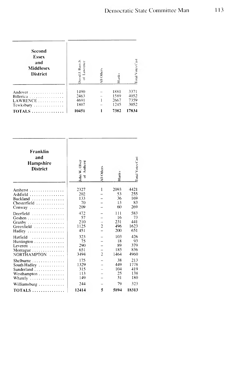| Second<br><b>Essex</b><br>and<br><b>Middlesex</b><br><b>District</b> | Bain Jr<br>awrence<br>J. bivist       | All Others | <b>Blanks</b>                        | otal Votes Cast                       |  |
|----------------------------------------------------------------------|---------------------------------------|------------|--------------------------------------|---------------------------------------|--|
| Andover<br>Billerica<br>$LAWRENCE$<br>Tewksbury                      | 1490<br>2463<br>4691<br>1807<br>10451 |            | 1881<br>1589<br>2667<br>1245<br>7382 | 3371<br>4052<br>7359<br>3052<br>17834 |  |

i.

| Franklin<br>and<br><b>Hampshire</b><br><b>District</b>                                                                              | John W. Olver                   | All Others     | <b>Blanks</b>                  | Total Votes Cast                |
|-------------------------------------------------------------------------------------------------------------------------------------|---------------------------------|----------------|--------------------------------|---------------------------------|
| Amherst                                                                                                                             | 2327                            | Ī              | 2093                           | 4421                            |
| Ashfield $\ldots \ldots \ldots \ldots$                                                                                              | 202                             |                | 53                             | 255                             |
| Buckland $\ldots$ ,                                                                                                                 | 133                             |                | 36                             | 169                             |
| Chesterfield                                                                                                                        | 70                              |                | 13                             | 83                              |
| Conway $\ldots \ldots \ldots \ldots$                                                                                                | 209                             |                | 60                             | 269                             |
| Deerfield $\ldots \ldots \ldots \ldots$                                                                                             | 472                             | $\overline{c}$ | 111                            | 583                             |
| Goshen                                                                                                                              | 57                              |                | 16                             | 73                              |
| $Graphy$                                                                                                                            | 210                             |                | 231                            | 441                             |
| Greenfield                                                                                                                          | 1125                            |                | 496                            | 1623                            |
| Hadley                                                                                                                              | 451                             |                | 200                            | 651                             |
| Hatfield<br>.<br>Huntington<br>Leverett $\ldots \ldots \ldots \ldots$<br>Montague $\ldots \ldots \ldots \ldots$<br>NORTHAMPTON<br>. | 323<br>75<br>290<br>651<br>3494 | $\overline{2}$ | 103<br>18<br>89<br>185<br>1464 | 426<br>93<br>379<br>836<br>4960 |
| Shelburne                                                                                                                           | 175                             |                | 38                             | 213                             |
| South Hadley                                                                                                                        | 1329                            |                | 449                            | 1778                            |
| Sunderland                                                                                                                          | 315                             |                | 104                            | 419                             |
| Westhampton                                                                                                                         | 113                             |                | 25                             | 138                             |
| Whately                                                                                                                             | 149                             |                | 31                             | 180                             |
| Williamsburg                                                                                                                        | 244                             | 5              | 79                             | 323                             |
| $TOTALS$                                                                                                                            | 12414                           |                | 5894                           | 18313                           |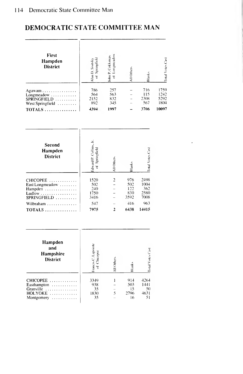| First<br>Hampden<br><b>District</b>                                                      | of Springfield<br>Alan D. Sivitsky                | of Longmeadow<br>John P. Cokkinias                     | All Others                                      | Blanks                                              | Total Votes Cast                      |
|------------------------------------------------------------------------------------------|---------------------------------------------------|--------------------------------------------------------|-------------------------------------------------|-----------------------------------------------------|---------------------------------------|
| Agawam<br>Longmeadow<br>$SPRINGFIED$<br>West Springfield<br>$TOTALS$                     | 786<br>564<br>2152<br>892<br>4394                 | 257<br>563<br>832<br>345<br>1997                       | $\overline{a}$                                  | 716<br>115<br>2308<br>567<br>3706                   | 1759<br>1242<br>5292<br>1804<br>10097 |
| Second<br>Hampden<br><b>District</b>                                                     | Edward P. Collins, Jr.<br>of Springfield          | All Others                                             | slanks                                          | Total Votes Cast                                    |                                       |
| CHICOPEE<br>East Longmeadow<br>Hampden<br>Ludlow<br>SPRINGFIELD<br>Wilbraham<br>$TOTALS$ | 1520<br>502<br>240<br>1750<br>3416<br>547<br>7975 | $\frac{2}{1}$<br>L<br>$\overline{a}$<br>$\overline{2}$ | 976<br>502<br>122<br>830<br>3592<br>416<br>6438 | 2498<br>1004<br>362<br>2580<br>7008<br>963<br>14415 |                                       |
| Hampden<br>and<br>Hampshire<br><b>District</b>                                           | Tancis C. Lapointe<br>of Chicopee                 | All Others                                             | Blanks                                          | Total Votes Cast                                    |                                       |
| CHICOPEE<br>Easthampton<br>.<br>Granville<br>.<br>HOLYOKE<br>Montgomery<br>.             | 3349<br>938<br>35<br>1830<br>35                   | 1<br>$\frac{1}{5}$                                     | 914<br>503<br>15<br>2796<br>16                  | 4264<br>1441<br>50<br>4631<br>51                    |                                       |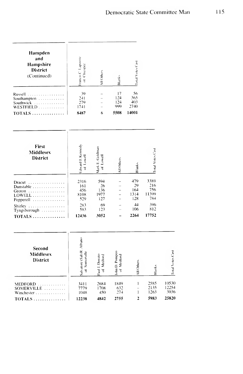| Hampden<br>and<br>Hampshire<br><b>District</b><br>(Continued)                         | rancis C Laponte<br>of Chicopee            | All Others                      | Blanks                                                                                           | Total Votes Cast                                                               |                                           |                                 |
|---------------------------------------------------------------------------------------|--------------------------------------------|---------------------------------|--------------------------------------------------------------------------------------------------|--------------------------------------------------------------------------------|-------------------------------------------|---------------------------------|
| Russell<br>Southampton<br>Southwick<br>.<br>WESTFIELD<br>.<br>$TOTALS$                | 39<br>241<br>279<br>1741<br>8487           | $\overline{a}$<br>6             | 17<br>124<br>124<br>999<br>5508                                                                  | 56<br>365<br>403<br>2740<br>14001                                              |                                           |                                 |
| First<br><b>Middlesex</b><br><b>District</b>                                          | Edward J. Kennedy<br>of Lowell             | Mark E. Goldman<br>of Lowell    | All Others                                                                                       | Blanks                                                                         | Total Votes Cast                          |                                 |
| Dracut<br>.<br>Dunstable<br>Groton<br>$LOWELL$<br>Pepperell                           | 2316<br>161<br>456<br>8108<br>529          | 594<br>26<br>136<br>1977<br>127 | $\overline{\phantom{0}}$<br>$\overline{a}$<br>$\overline{a}$<br>$\overline{a}$<br>$\overline{a}$ | 479<br>29<br>164<br>1314<br>128<br>44                                          | 3389<br>216<br>756<br>11399<br>784<br>396 |                                 |
| Shirley<br>Tyngsborough $\ldots$ .<br>$\texttt{TOTALS}\dots\dots\dots\dots\dots\dots$ | 283<br>583<br>12436                        | 69<br>123<br>3052               | $\overline{\phantom{a}}$                                                                         | 106<br>2264                                                                    | 812<br>17752                              |                                 |
| Second<br>Middlesex<br><b>District</b>                                                | Salvatore (Sal) R. Albano<br>of Somerville | Paul J. Donato<br>of Mediord    | John D. Pompeo<br>of Mediord                                                                     | All Others                                                                     | <b>Blanks</b>                             | Total Votes Cast                |
| <b>MEDFORD</b><br>SOMERVILLE<br>.<br>Winchester<br><b>TOTALS</b>                      | 3411<br>7779<br>1048<br>12238              | 2684<br>1708<br>450<br>4842     | 1849<br>632<br>274<br>2755                                                                       | I<br>$\overline{a}$<br>$\begin{array}{c} \hline \end{array}$<br>$\overline{2}$ | 2585<br>2135<br>1263<br>5983              | 10530<br>12254<br>3036<br>25820 |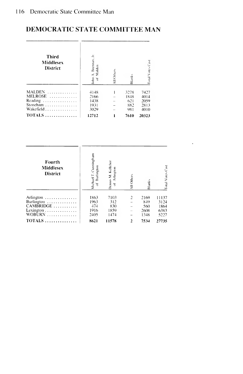| <b>Third</b><br>Middlesex<br><b>District</b>                      | John A. Brennan,<br>Malden<br>Έ      | All Others | Blank-                            | Total Votes Cast                     |  |
|-------------------------------------------------------------------|--------------------------------------|------------|-----------------------------------|--------------------------------------|--|
| <b>MALDEN</b><br>.<br>MELROSE<br>Reading<br>Stoneham<br>Wakefield | 4148<br>2166<br>1438<br>1931<br>3029 |            | 3278<br>1848<br>621<br>882<br>981 | 7427<br>4014<br>2059<br>2813<br>4010 |  |
|                                                                   | 12712                                |            | 7610                              | 20323                                |  |

| Fourth<br>Middlesex<br><b>District</b>                           | Cunningham<br>Burlington<br>Michael T.<br>ह | Jenny M. Kelleher<br>Arlington<br>ă | All Other      | Blanks                             | <b>Total Votes Cast</b>               |
|------------------------------------------------------------------|---------------------------------------------|-------------------------------------|----------------|------------------------------------|---------------------------------------|
| Arlington<br>Burlington<br>CAMBRIDGE<br>Lexington<br>WOBURN<br>. | 1863<br>1963<br>474<br>1916<br>2405         | 7103<br>312<br>830<br>1859<br>1474  | $\overline{c}$ | 2169<br>849<br>560<br>2608<br>1348 | 11137<br>3124<br>1864<br>6383<br>5227 |
| $TOTALS$                                                         | 8621                                        | 11578                               | $\overline{2}$ | 7534                               | 27735                                 |

 $\sim 100$  km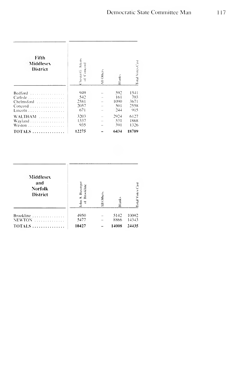| Fifth<br><b>Middlesex</b><br>District                        | Thester G. Atkins<br>Comcord<br>Έ | All Others | Blanks                             | Total Votes Cast                   |
|--------------------------------------------------------------|-----------------------------------|------------|------------------------------------|------------------------------------|
| Bedford<br>.<br>Carlisle<br>Chelmsford<br>Concord<br>Lincoln | 949<br>542<br>2581<br>2057<br>671 |            | 592<br>161<br>1(090)<br>501<br>244 | 1541<br>703<br>3671<br>2558<br>915 |
| WALTHAM<br>Wayland<br>Weston<br>$TOTALS$                     | 3203<br>1337<br>935<br>12275      |            | 2924<br>531<br>391<br>6434         | 6127<br>1868<br>1326<br>18709      |

J.

| Middlesex<br>and<br><b>Norfolk</b><br><b>District</b> | A. Businger<br>Brookline<br>들<br>Έ | All Others | Blanks | Ã<br>otal Votes |
|-------------------------------------------------------|------------------------------------|------------|--------|-----------------|
| Brookline                                             | 4950                               |            | 5142   | 10092           |
| <b>NEWTON</b>                                         | 5477                               |            | 8866   | 14343           |
| TOTALS                                                | 10427                              |            | 14008  | 24435           |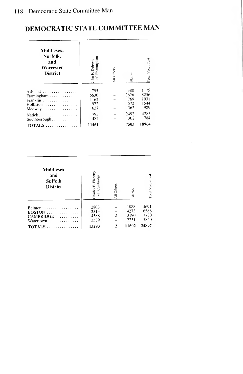$\overline{\phantom{a}}$   $\overline{\phantom{a}}$   $\overline{\phantom{a}}$   $\overline{\phantom{a}}$   $\overline{\phantom{a}}$ 

# DEMOCRATIC STATE COMMITTEE MAN

| Middlesex.<br>Norfolk.<br>and<br>Worcester<br><b>District</b> | John F. Delprete<br>of Framingham | All Others | Blank | otal Votes Cast |
|---------------------------------------------------------------|-----------------------------------|------------|-------|-----------------|
| Ashland $\ldots \ldots \ldots \ldots$                         | 795                               |            | 380   | 1175            |
| Framingham                                                    | 5630                              |            | 2626  | 8256            |
| Franklin                                                      | 1162                              |            | 769   | 1931            |
| Holliston                                                     | 972                               |            | 572   | 1544            |
| Medway                                                        | 627                               |            | 362   | 989             |
| Natick                                                        | 1793                              |            | 2492  | 4285            |
| Southborough                                                  | 482                               |            | 302   | 784             |
| $TOTALS$                                                      | 11461                             |            | 7503  | 18964           |

| Middlesex<br>and<br><b>Suffolk</b><br><b>District</b>  | Charles F. Flaherty<br>of Cambridge | All Others    | Blank:                       | Total Votes Cast             |
|--------------------------------------------------------|-------------------------------------|---------------|------------------------------|------------------------------|
| Belmont<br>BOSTON<br>CAMBRIDGE<br>Watertown $\ldots$ , | 2803<br>2313<br>4588<br>3589        | $\mathcal{P}$ | 1888<br>4273<br>3190<br>2251 | 4691<br>6586<br>7780<br>5840 |
| $TOTALS$                                               | 13293                               |               | 11602                        | 24897                        |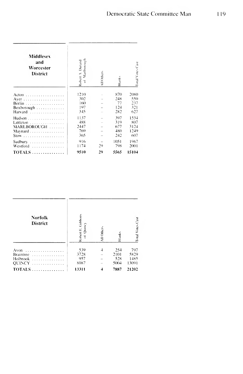| Middlesex<br>and<br>Worcester<br>District | Marlborough<br>Robert A. Durand<br>$\overline{\circ}$ | All Others | Blanks              | Total Votes Cas       |
|-------------------------------------------|-------------------------------------------------------|------------|---------------------|-----------------------|
| Acton                                     | 1210                                                  |            | 870                 | 2080                  |
|                                           | 302                                                   |            | 248                 | 550                   |
| Berlin                                    | 160                                                   |            | 77                  | 237                   |
| Boxborough $\ldots \ldots \ldots \ldots$  | 197                                                   |            | 124                 | 321                   |
| Harvard                                   | 345                                                   |            | 282                 | 627                   |
| Hudson                                    | 1137                                                  |            | 397                 | 1534                  |
| Littleton                                 | 488                                                   |            | 319                 | 807                   |
| MARLBOROUGH                               | 2447                                                  |            | 677                 | 3124                  |
| Maynard                                   | 769                                                   |            | 480                 | 1249                  |
| $Stow$                                    | 365                                                   |            | 242                 | 607                   |
| Sudbury<br>Westford<br>$TOTALS$           | 916<br>1174<br>9510                                   | 29<br>29   | 1051<br>798<br>5565 | 1967<br>2001<br>15104 |

| <b>Norfolk</b><br><b>District</b>                   | Robert E. Gibbons<br>Quincy<br>Ξ | All Others | Blank                      | otal Votes Cast              |
|-----------------------------------------------------|----------------------------------|------------|----------------------------|------------------------------|
| Avon<br><b>Braintree</b><br>Holbrook<br>QUINCY<br>. | 539<br>3728<br>957<br>8087       |            | 254<br>2101<br>528<br>5004 | 797<br>5829<br>1485<br>13091 |
| $TOTALS$                                            | 13311                            |            | 7887                       | 21202                        |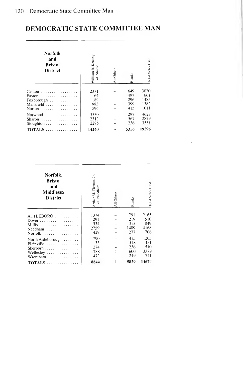| Norfolk<br>and<br><b>Bristol</b><br>District                                                                | William R. Keating<br>Sharon<br>ह  | All Others | Blanks                          | Total Votes Cast                     |
|-------------------------------------------------------------------------------------------------------------|------------------------------------|------------|---------------------------------|--------------------------------------|
| Canton<br>. <b>.</b> .<br>Easton<br>.<br>Foxborough<br>Mansfield<br>Norton $\dots\dots\dots\dots\dots\dots$ | 2371<br>1164<br>1189<br>983<br>596 |            | 649<br>497<br>296<br>399<br>415 | 3020<br>1661<br>1485<br>1382<br>1011 |
| Norwood<br>Sharon<br>Stoughton $\ldots \ldots \ldots \ldots$                                                | 3330<br>2312<br>2295               |            | 1297<br>567<br>1236             | 4627<br>2879<br>3531                 |
| $TOTALS$                                                                                                    | 14240                              |            | 5356                            | 19596                                |

l,

| Norfolk.<br><b>Bristol</b><br>and<br><b>Middlesex</b><br>District          | Arthur M. Tiernan, Jr.<br>Needham<br>ह | All Others | Blanks                           | Total Votes Cast                     |
|----------------------------------------------------------------------------|----------------------------------------|------------|----------------------------------|--------------------------------------|
| $ATTLEBORO$<br>Dover<br>Millis<br>Needham<br>Norfolk                       | 1374<br>291<br>534<br>2759<br>429      |            | 791<br>219<br>315<br>1409<br>277 | 2165<br>510<br>849<br>4168<br>706    |
| North Attleborough<br>Plainville<br>Sherborn<br>Wellesley<br>Wrentham<br>. | 790<br>133<br>274<br>1788<br>472       |            | 415<br>318<br>236<br>1600<br>249 | 1205<br>$-451$<br>510<br>3389<br>721 |
| $TOTALS$                                                                   | 8844                                   | 1          | 5829                             | 14674                                |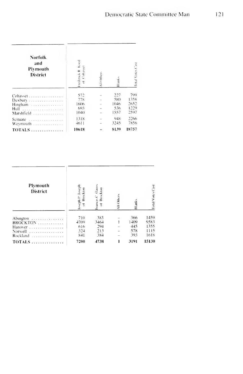| Norfolk<br>and<br>Plymouth<br>District               | Frederick R. Koed<br>Cohasset<br>ŧ  | All Others | Blank-                            | Fotal Votes Cast                    |
|------------------------------------------------------|-------------------------------------|------------|-----------------------------------|-------------------------------------|
| Cohasset<br>Duxbury<br>Hingham<br>Hull<br>Marshfield | 572<br>778<br>1606<br>693<br>(0.40) |            | 227<br>580<br>1046<br>536<br>1557 | 799<br>1358<br>2652<br>1229<br>2597 |
| Scituate<br>.<br>Weymouth<br>$TOTALS$                | 1318<br>4611<br>10618               |            | 948<br>3245<br>8139               | 2266<br>7856<br>18757               |

| Plymouth<br><b>District</b>                            | seph <sub>12</sub> . Joseph<br>Brockton | rancis C. Gauss<br>Brockton      | All Others | Blanks                           | Fotal Votes Cast                     |
|--------------------------------------------------------|-----------------------------------------|----------------------------------|------------|----------------------------------|--------------------------------------|
| Abington<br>BROCKTON<br>Hanover<br>Norwell<br>Rockland | 710<br>4709<br>616<br>324<br>841        | 383<br>3464<br>294<br>213<br>384 |            | 366<br>1409<br>445<br>578<br>393 | 1459<br>9583<br>1355<br>1115<br>1618 |
|                                                        | 7200                                    | 4738                             |            | 3191                             | 15130                                |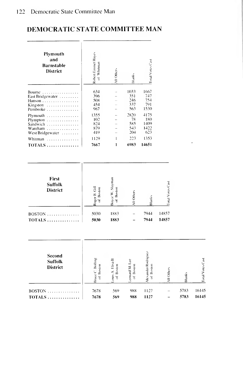| Plymouth<br>and<br><b>Barnstable</b><br>District                                    | Robert Emmet Hayes<br>Whitman<br>$\overline{\circ}$ | All Others   | <b>Blanks</b>                    | Total Votes Cast                   |
|-------------------------------------------------------------------------------------|-----------------------------------------------------|--------------|----------------------------------|------------------------------------|
| Bourne $\ldots \ldots \ldots$<br>East Bridgewater<br>Hanson<br>Kingston<br>Pembroke | 634<br>396<br>508<br>454<br>967                     |              | 1033<br>351<br>246<br>337<br>563 | 1667<br>747<br>754<br>791<br>1530  |
| Plymouth<br>Plympton<br>Sandwich<br>Wareham<br>West Bridgewater                     | 1355<br>102<br>824<br>879<br>419                    |              | 2820<br>78<br>585<br>543<br>204  | 4175<br>180<br>1409<br>1422<br>623 |
| Whitman<br>.                                                                        | 1129<br>7667                                        | 1<br>1       | 223<br>6983                      | 1353<br>14651                      |
|                                                                                     |                                                     |              |                                  |                                    |
| First<br><b>Suffolk</b><br>.                                                        | ≡<br>$=$                                            | Slayman<br>Ξ |                                  |                                    |

| <b>District</b> |      | ∽    |      |       |
|-----------------|------|------|------|-------|
| $BOSTON$        | 5030 | 1883 | 7944 | 14857 |
| $TOTALS$        | 5030 | 1883 | 7944 | 14857 |

| <b>Second</b><br><b>Suffolk</b><br><b>District</b> | Bolling<br>Ξ | É<br>Ξ<br>š<br>į<br>ढ | Boston<br>conard M.<br>৳ | Rodriguez<br>Ξ<br>ander<br>š | Other | ا<br>Blan | Z<br>Votes<br>$\overline{d}$ |
|----------------------------------------------------|--------------|-----------------------|--------------------------|------------------------------|-------|-----------|------------------------------|
| <b>BOSTON</b>                                      | 7678         | 569                   | 988                      | 1127                         |       | 5783      | 16145                        |
| $TOTALS$                                           | 7678         | 569                   | 988                      | 1127                         |       | 5783      | 16145                        |

 $\rm CaM$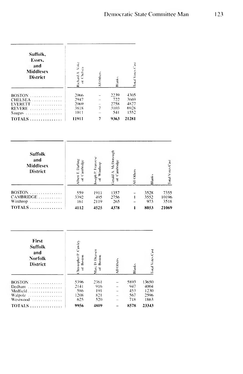| Suffolk,<br>Essex,<br>and<br>Middlesex<br><b>District</b> | Voke<br>Richard A. Vo | All Others | Blank- | Fotal Votes Cast |  |
|-----------------------------------------------------------|-----------------------|------------|--------|------------------|--|
| $BOSTON$                                                  | 2066                  |            | 2239   | 4305             |  |
| $CHELSEA$                                                 | 2947                  |            | 722    | 3669             |  |
| $EVERETT$                                                 | 2069                  |            | 2758   | 4827             |  |
| REVERE                                                    | 3818                  |            | 3103   | 6928             |  |
| Saugus                                                    | 1011                  |            | 541    | 1552             |  |
|                                                           | 11911                 |            | 9363   | 21281            |  |

J.

| <b>Suffolk</b><br>and<br><b>Middlesex</b><br><b>District</b> | Darling<br>ambridge<br>Ξ | тапи<br>inthrop<br>Ē | A. McDonough<br>ambridge<br>ierald<br>Ξ | Others | Í    | Z<br>Votes <sup>1</sup><br>Ē |
|--------------------------------------------------------------|--------------------------|----------------------|-----------------------------------------|--------|------|------------------------------|
| $BOSTON$                                                     | 559                      | 1911                 | 1357                                    |        | 3528 | 7355                         |
| CAMBRIDGE                                                    | 3392                     | 495                  | 2756                                    |        | 3552 | 10196                        |
| Winthrop                                                     | 161                      | 2119                 | 265                                     |        | 973  | 3518                         |
| TOTALS                                                       | 4112                     | 4525                 | 4378                                    |        | 8053 | 21069                        |

| First<br><b>Suffolk</b><br>and<br><b>Norfolk</b><br><b>District</b> | Cawley<br>Threstopher <sup>12</sup><br>Boston<br>Έ | D Draisen<br>Boston<br>Marc<br>Έ | All Other | Blank-             | otal Votes Cast       |
|---------------------------------------------------------------------|----------------------------------------------------|----------------------------------|-----------|--------------------|-----------------------|
| <b>BOSTON</b><br>. . <b>.</b><br>Dedham<br>.<br>Medfield            | 5396<br>2141<br>586                                | 2361<br>916<br>191               |           | 5893<br>947<br>453 | 13650<br>4004<br>1230 |
| Walpole<br>Westwood<br>TOTALS                                       | 1208<br>625<br>9956                                | 821<br>520<br>4809               |           | 567<br>718<br>8578 | 2596<br>1863<br>23343 |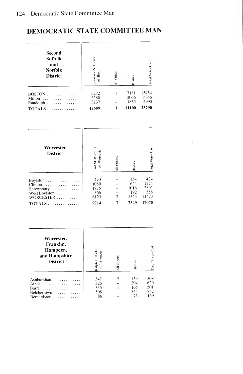| Second<br><b>Suffolk</b><br>and<br><b>Norfolk</b><br><b>District</b>                                    | awrence S. Dicara<br>of Boston             | All Others                                        | <b>Blanks</b>                             | <b>Total Votes Cast</b>                      |  |
|---------------------------------------------------------------------------------------------------------|--------------------------------------------|---------------------------------------------------|-------------------------------------------|----------------------------------------------|--|
| BOSTON<br>Milton<br>Randolph<br>$\ldots$ .<br>$TOTALS$                                                  | 6272<br>3280<br>3137<br>12689              | 7181<br>1<br>2066<br>1853<br>11100<br>1           |                                           | 13454<br>5346<br>4990<br>23790               |  |
| Worcester<br><b>District</b>                                                                            | Paul M. Pezzella<br>of Worcester           | All Others                                        | <b>Blanks</b>                             | Total Votes Cast                             |  |
| Boylston $\dots \dots$<br>$Clinton$ .<br>.<br>Shrewsbury<br>West Boylston<br>WORCESTER<br>TOTALS        | 270<br>1080<br>1875<br>366<br>6123<br>9714 | $\frac{1}{1}$<br>$\overline{7}$<br>$\overline{7}$ | 154<br>644<br>1016<br>192<br>5343<br>7349 | 424<br>1724<br>2891<br>558<br>11473<br>17070 |  |
| Worcester,<br>Franklin,<br>Hampden,<br>and Hampshire<br><b>District</b>                                 | Ralph E. Hicks<br>of Spencer               | All Others                                        | Blanks                                    | Total Votes Cast                             |  |
| Ashburnham<br>Athol<br>1.1.1.1<br>Barre<br>Belchertown<br>Bernardston<br>$\overline{a}$<br>$\sim$<br>÷. | 347<br>326<br>335<br>508<br>86             | $\frac{2}{1}$                                     | 159<br>294<br>165<br>344<br>73            | 508<br>620<br>501<br>852<br>159              |  |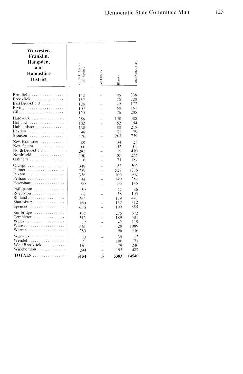| Worcester,<br>Franklin.<br>Hampden,<br>and<br>Hampshire<br><b>District</b>                  | Ralph E. Hicks<br>Spencer<br>$\overline{z}$ | VII Others | Blank-                         | Fotal Votes Cast                             |
|---------------------------------------------------------------------------------------------|---------------------------------------------|------------|--------------------------------|----------------------------------------------|
| Brimfield<br>Brookfield<br>East Brookfield<br>a sa salawa<br>Erving<br>Gill                 | 142<br>152<br>128<br>1()3<br>129            | L.         | 96<br>76<br>49<br>58<br>76     | 238<br>$\frac{5}{2}$ 28<br>177<br>161<br>205 |
| Hardwick<br>Hubbardston<br>Levden<br>Monson                                                 | 258<br>102<br>130<br>48<br>476              |            | 130<br>52<br>88<br>31<br>263   | 388<br>154<br>218<br>79<br>739               |
| New Braintree<br>in provincia di<br>New Salem<br>North Brookfield<br>Northfield<br>$Oakham$ | 89<br>60<br>291<br>150<br>116               | L.<br>i.   | 34<br>42<br>119<br>85<br>71    | 123<br>102<br>410<br>235<br>187              |
| Orange<br>Palmer<br>.<br>Paxton<br>.<br>Pelham<br>Petersham                                 | 349<br>759<br>336<br>144<br>90              |            | 153<br>527<br>166<br>140<br>56 | 502<br>1286<br>502<br>284<br>146             |
| Phillipston<br>Rovalston<br>Rutland<br>Shutesbury<br>Spencer<br>J.                          | 59<br>67<br>262<br>160<br>656               |            | 27<br>38<br>179<br>152<br>199  | 86<br>105<br>441<br>312<br>855               |
| Sturbridge<br>.<br>Templeton<br>Wales<br>Ware<br>Warren                                     | 397<br>312<br>77<br>661<br>250              |            | 275<br>189<br>42<br>428<br>96  | 672<br>501<br>119<br>1089<br>346             |
| Warwick<br>Wendell<br>.<br>West Brookfield<br>Winchendon<br>$TOTALS$                        | 73<br>71<br>161<br>294                      |            | 39<br>100<br>79<br>193         | 112<br>171<br>240<br>487                     |
|                                                                                             | 9154                                        | 3          | 5383                           | 14540                                        |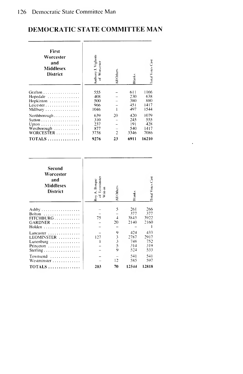| First<br>Worcester<br>and<br>Middlesex<br>District | Anthony J. Vighotti<br>Worcester<br>ă | All Other-     | Blanks     | <b>Total Votes Cast</b> |  |
|----------------------------------------------------|---------------------------------------|----------------|------------|-------------------------|--|
| Grafton                                            | 555                                   |                | 611        | 1166                    |  |
| Hopedale                                           | 408                                   |                | 230        | 638                     |  |
| Hopkinton                                          | 500                                   |                | 380<br>451 | 880<br>1417             |  |
| Leicester<br>Millbury                              | 966<br>1046                           |                | 497        | 1544                    |  |
| Northborough $\ldots \ldots \ldots$                | 639                                   | 20             | 420        | 1079                    |  |
|                                                    | 310                                   |                | 245        | 555                     |  |
| Upton                                              | 237                                   |                | 191        | 428                     |  |
| Westborough                                        | 877                                   |                | 540        | 1417                    |  |
| $WORCESTER$                                        | 3738                                  | $\overline{2}$ | 3346       | 7086                    |  |
| $\text{TOTALS} \dots \dots \dots \dots \dots$      | 9276                                  | 23             | 6911       | 16210                   |  |

 $\ddot{\phantom{a}}$ 

| Second<br>Worcester<br>and<br>Middlesex<br><b>District</b>                                  | of Leominster<br>Writ-in<br>Roy A. Borque | All Others                                           | <b>Blanks</b>                    | Total Votes Cast                 |
|---------------------------------------------------------------------------------------------|-------------------------------------------|------------------------------------------------------|----------------------------------|----------------------------------|
| Bolton<br>$FITCHBURG$<br>GARDNER<br>$H$ olden                                               | 75                                        | 5<br>$\overline{1}$<br>20                            | 261<br>377<br>3843<br>2140       | 266<br>377<br>3922<br>2160       |
| Lancaster $\ldots \ldots \ldots \ldots$<br>LEOMINSTER<br>Lunenburg<br>Princeton<br>Sterling | 127                                       | 9<br>$\begin{array}{c} 3 \\ 3 \\ 5 \end{array}$<br>9 | 424<br>2787<br>748<br>314<br>524 | 433<br>2917<br>752<br>319<br>533 |
| Townsend<br>Westminster<br>$TOTALS$                                                         | 203                                       | 12<br>70                                             | 541<br>585<br>12544              | 541<br>597<br>12818              |